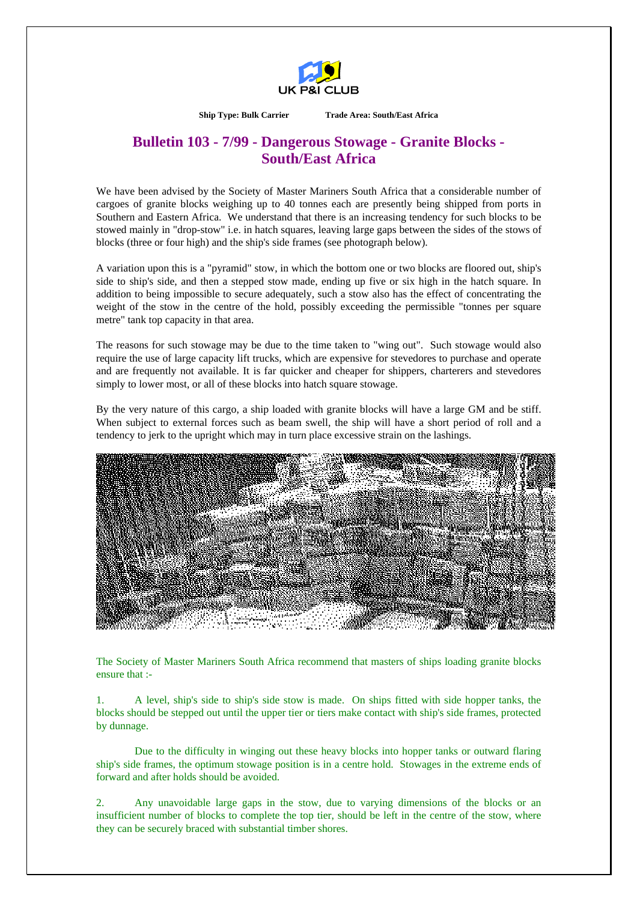

**Ship Type: Bulk Carrier Trade Area: South/East Africa** 

## **Bulletin 103 - 7/99 - Dangerous Stowage - Granite Blocks - South/East Africa**

We have been advised by the Society of Master Mariners South Africa that a considerable number of cargoes of granite blocks weighing up to 40 tonnes each are presently being shipped from ports in Southern and Eastern Africa. We understand that there is an increasing tendency for such blocks to be stowed mainly in "drop-stow" i.e. in hatch squares, leaving large gaps between the sides of the stows of blocks (three or four high) and the ship's side frames (see photograph below).

A variation upon this is a "pyramid" stow, in which the bottom one or two blocks are floored out, ship's side to ship's side, and then a stepped stow made, ending up five or six high in the hatch square. In addition to being impossible to secure adequately, such a stow also has the effect of concentrating the weight of the stow in the centre of the hold, possibly exceeding the permissible "tonnes per square metre" tank top capacity in that area.

The reasons for such stowage may be due to the time taken to "wing out". Such stowage would also require the use of large capacity lift trucks, which are expensive for stevedores to purchase and operate and are frequently not available. It is far quicker and cheaper for shippers, charterers and stevedores simply to lower most, or all of these blocks into hatch square stowage.

By the very nature of this cargo, a ship loaded with granite blocks will have a large GM and be stiff. When subject to external forces such as beam swell, the ship will have a short period of roll and a tendency to jerk to the upright which may in turn place excessive strain on the lashings.



The Society of Master Mariners South Africa recommend that masters of ships loading granite blocks ensure that :-

1. A level, ship's side to ship's side stow is made. On ships fitted with side hopper tanks, the blocks should be stepped out until the upper tier or tiers make contact with ship's side frames, protected by dunnage.

 Due to the difficulty in winging out these heavy blocks into hopper tanks or outward flaring ship's side frames, the optimum stowage position is in a centre hold. Stowages in the extreme ends of forward and after holds should be avoided.

2. Any unavoidable large gaps in the stow, due to varying dimensions of the blocks or an insufficient number of blocks to complete the top tier, should be left in the centre of the stow, where they can be securely braced with substantial timber shores.